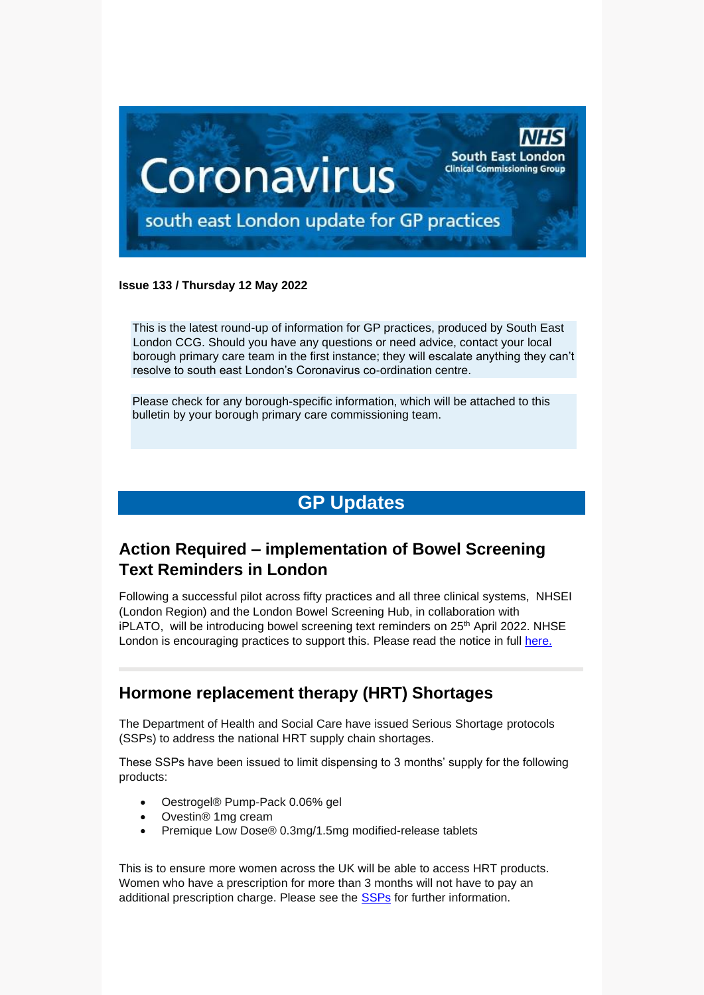

#### **Issue 133 / Thursday 12 May 2022**

This is the latest round-up of information for GP practices, produced by South East London CCG. Should you have any questions or need advice, contact your local borough primary care team in the first instance; they will escalate anything they can't resolve to south east London's Coronavirus co-ordination centre.

Please check for any borough-specific information, which will be attached to this bulletin by your borough primary care commissioning team.

# **GP Updates**

## **Action Required – implementation of Bowel Screening Text Reminders in London**

Following a successful pilot across fifty practices and all three clinical systems, NHSEI (London Region) and the London Bowel Screening Hub, in collaboration with iPLATO, will be introducing bowel screening text reminders on 25<sup>th</sup> April 2022. NHSE London is encouraging practices to support this. Please read the notice in full [here.](https://selondonccg.nhs.uk/wp-content/uploads/2022/05/Implementation-of-Bowel-Screening-Text-Reminders-in-London-.docx)

### **Hormone replacement therapy (HRT) Shortages**

The Department of Health and Social Care have issued Serious Shortage protocols (SSPs) to address the national HRT supply chain shortages.

These SSPs have been issued to limit dispensing to 3 months' supply for the following products:

- Oestrogel® Pump-Pack 0.06% gel
- Ovestin® 1mg cream
- Premique Low Dose® 0.3mg/1.5mg modified-release tablets

This is to ensure more women across the UK will be able to access HRT products. Women who have a prescription for more than 3 months will not have to pay an additional prescription charge. Please see the [SSPs](https://www.nhsbsa.nhs.uk/pharmacies-gp-practices-and-appliance-contractors/serious-shortage-protocols-ssps) for further information.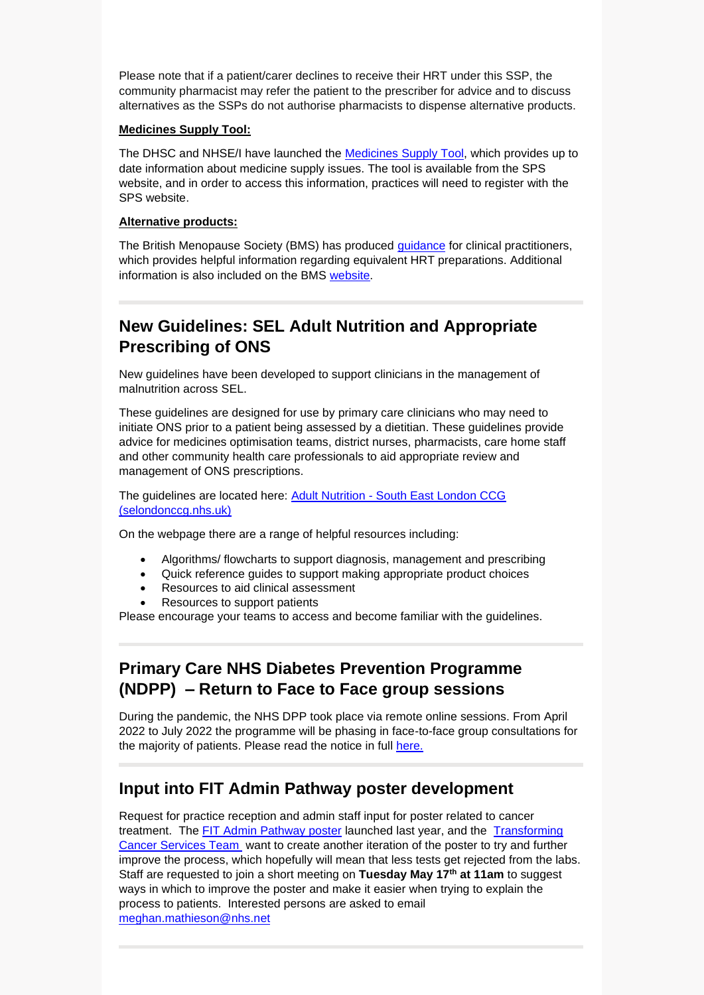Please note that if a patient/carer declines to receive their HRT under this SSP, the community pharmacist may refer the patient to the prescriber for advice and to discuss alternatives as the SSPs do not authorise pharmacists to dispense alternative products.

#### **Medicines Supply Tool:**

The DHSC and NHSE/I have launched the [Medicines Supply Tool,](https://www.sps.nhs.uk/home/planning/medicines-supply-tool/) which provides up to date information about medicine supply issues. The tool is available from the SPS website, and in order to access this information, practices will need to register with the SPS website.

#### **Alternative products:**

The British Menopause Society (BMS) has produced [guidance](https://thebms.org.uk/wp-content/uploads/2022/03/15-BMS-TfC-HRT-preparations-and-equivalent-alternatives-01D.pdf) for clinical practitioners, which provides helpful information regarding equivalent HRT preparations. Additional information is also included on the BMS [website.](https://thebms.org.uk/news/british-menopause-society-update-on-hrt-supply/)

### **New Guidelines: SEL Adult Nutrition and Appropriate Prescribing of ONS**

New guidelines have been developed to support clinicians in the management of malnutrition across SEL.

These guidelines are designed for use by primary care clinicians who may need to initiate ONS prior to a patient being assessed by a dietitian. These guidelines provide advice for medicines optimisation teams, district nurses, pharmacists, care home staff and other community health care professionals to aid appropriate review and management of ONS prescriptions.

The guidelines are located here: Adult Nutrition - [South East London CCG](https://scanmail.trustwave.com/?c=8248&d=-b714qJbM8ylnjrAi-4y9e6HSqbBThcgLLvwZb0Hlg&u=https%3a%2f%2fselondonccg%2enhs%2euk%2fhealthcare-professionals%2fmedicines-optimisation%2fsouth-east-london-medicines-optimisation-team%2fadult-nutrition%2f)  [\(selondonccg.nhs.uk\)](https://scanmail.trustwave.com/?c=8248&d=-b714qJbM8ylnjrAi-4y9e6HSqbBThcgLLvwZb0Hlg&u=https%3a%2f%2fselondonccg%2enhs%2euk%2fhealthcare-professionals%2fmedicines-optimisation%2fsouth-east-london-medicines-optimisation-team%2fadult-nutrition%2f)

On the webpage there are a range of helpful resources including:

- Algorithms/ flowcharts to support diagnosis, management and prescribing
- Quick reference guides to support making appropriate product choices
- Resources to aid clinical assessment
- Resources to support patients

Please encourage your teams to access and become familiar with the guidelines.

## **Primary Care NHS Diabetes Prevention Programme (NDPP) – Return to Face to Face group sessions**

During the pandemic, the NHS DPP took place via remote online sessions. From April 2022 to July 2022 the programme will be phasing in face-to-face group consultations for the majority of patients. Please read the notice in full [here.](https://selondonccg.nhs.uk/wp-content/uploads/2022/05/Primary-Care-NDPP-Update-–-Return-to-Face-to-Face-Group-Sessions.docx)

### **Input into FIT Admin Pathway poster development**

Request for practice reception and admin staff input for poster related to cancer treatment. The [FIT Admin Pathway poster](https://www.healthylondon.org/fit-admin-pathway/) launched last year, and the [Transforming](https://www.healthylondon.org/our-work/cancer/)  [Cancer Services Team](https://www.healthylondon.org/our-work/cancer/) want to create another iteration of the poster to try and further improve the process, which hopefully will mean that less tests get rejected from the labs. Staff are requested to join a short meeting on **Tuesday May 17th at 11am** to suggest ways in which to improve the poster and make it easier when trying to explain the process to patients. Interested persons are asked to email [meghan.mathieson@nhs.net](mailto:meghan.mathieson@nhs.net)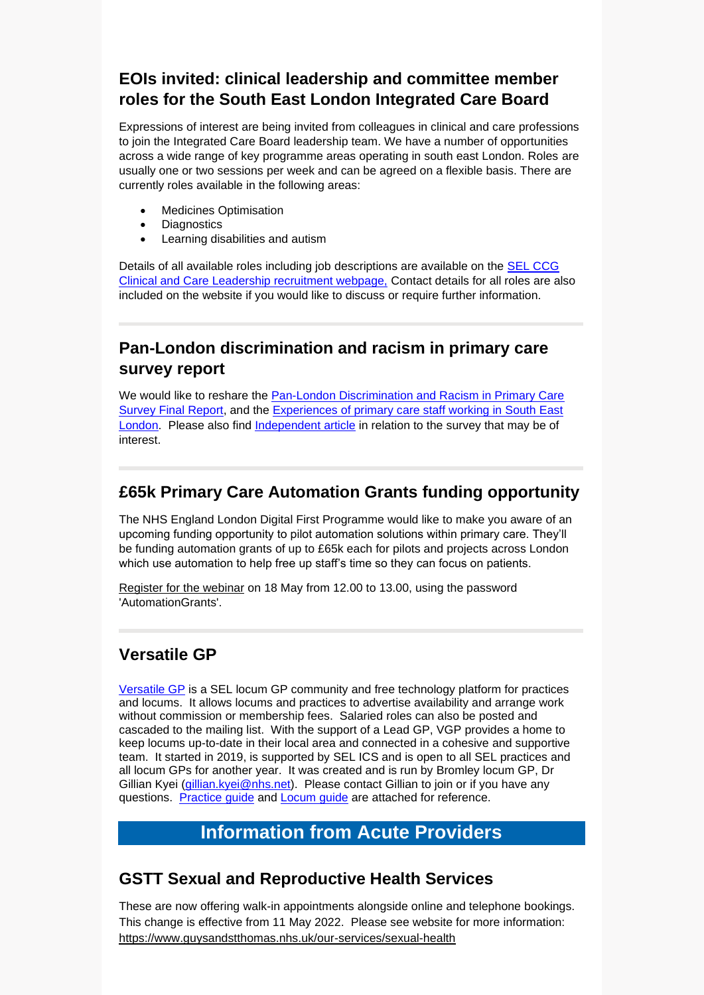## **EOIs invited: clinical leadership and committee member roles for the South East London Integrated Care Board**

Expressions of interest are being invited from colleagues in clinical and care professions to join the Integrated Care Board leadership team. We have a number of opportunities across a wide range of key programme areas operating in south east London. Roles are usually one or two sessions per week and can be agreed on a flexible basis. There are currently roles available in the following areas:

- Medicines Optimisation
- Diagnostics
- Learning disabilities and autism

Details of all available roles including job descriptions are available on the [SEL CCG](https://selondonccg.nhs.uk/what-we-do/clinical-and-care-professional-leadership-roles/south-east-london-clinical-and-care-leadership-available-roles-how-to-find-out-more-and-how-to-apply/)  [Clinical and Care Leadership recruitment webpage,](https://selondonccg.nhs.uk/what-we-do/clinical-and-care-professional-leadership-roles/south-east-london-clinical-and-care-leadership-available-roles-how-to-find-out-more-and-how-to-apply/) Contact details for all roles are also included on the website if you would like to discuss or require further information.

## **Pan-London discrimination and racism in primary care survey report**

We would like to reshare the [Pan-London Discrimination and Racism in Primary Care](https://selondonccg.nhs.uk/wp-content/uploads/2022/05/Pan-LondonDiscriminationRacismPrimaryCareSurvey_Final.pdf)  [Survey Final Report,](https://selondonccg.nhs.uk/wp-content/uploads/2022/05/Pan-LondonDiscriminationRacismPrimaryCareSurvey_Final.pdf) and the [Experiences of primary care staff working in South East](https://selondonccg.nhs.uk/wp-content/uploads/2022/05/South-East-London-discrimination-survey.pdf)  [London.](https://selondonccg.nhs.uk/wp-content/uploads/2022/05/South-East-London-discrimination-survey.pdf) Please also find [Independent article](https://www.independent.co.uk/news/health/nhs-gps-racism-health-education-england-b2068687.html) in relation to the survey that may be of interest.

## **£65k Primary Care Automation Grants funding opportunity**

The NHS England London Digital First Programme would like to make you aware of an upcoming funding opportunity to pilot automation solutions within primary care. They'll be funding automation grants of up to £65k each for pilots and projects across London which use automation to help free up staff's time so they can focus on patients.

[Register for the webinar](https://bit.ly/3KZdwzc) on 18 May from 12.00 to 13.00, using the password 'AutomationGrants'.

# **Versatile GP**

[Versatile](https://www.versatilegp.com/) GP is a SEL locum GP community and free technology platform for practices and locums. It allows locums and practices to advertise availability and arrange work without commission or membership fees. Salaried roles can also be posted and cascaded to the mailing list. With the support of a Lead GP, VGP provides a home to keep locums up-to-date in their local area and connected in a cohesive and supportive team. It started in 2019, is supported by SEL ICS and is open to all SEL practices and all locum GPs for another year. It was created and is run by Bromley locum GP, Dr Gillian Kyei [\(gillian.kyei@nhs.net\)](mailto:gillian.kyei@nhs.net). Please contact Gillian to join or if you have any questions. [Practice](https://selondonccg.nhs.uk/wp-content/uploads/2022/05/Practice-Guide.pdf) guide and [Locum](https://selondonccg.nhs.uk/wp-content/uploads/2022/05/Locum-GP-Quick-Reference-Guide.pdf) guide are attached for reference.

# **Information from Acute Providers**

## **GSTT Sexual and Reproductive Health Services**

These are now offering walk-in appointments alongside online and telephone bookings. This change is effective from 11 May 2022. Please see website for more information: <https://www.guysandstthomas.nhs.uk/our-services/sexual-health>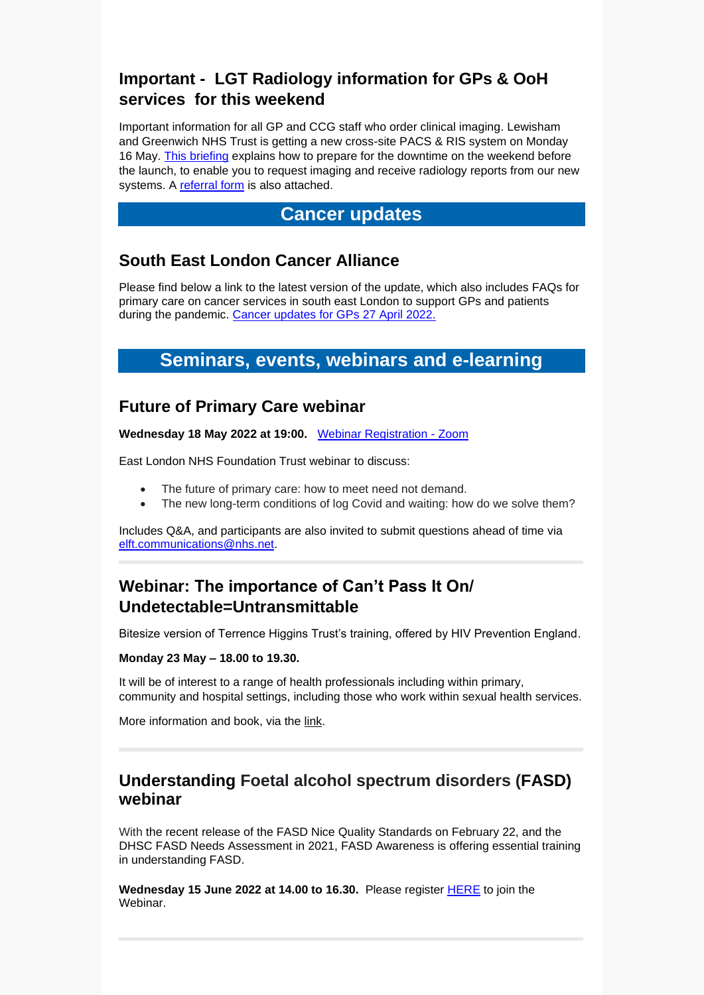# **Important - LGT Radiology information for GPs & OoH services for this weekend**

Important information for all GP and CCG staff who order clinical imaging. Lewisham and Greenwich NHS Trust is getting a new cross-site PACS & RIS system on Monday 16 May. [This briefing](https://selondonccg.nhs.uk/wp-content/uploads/2022/05/GP-Briefing-Radiology-Downtime-FINAL.pdf) explains how to prepare for the downtime on the weekend before the launch, to enable you to request imaging and receive radiology reports from our new systems. A [referral form](https://selondonccg.nhs.uk/wp-content/uploads/2022/05/gp-request-april-06.docx) is also attached.

### **Cancer updates**

### **South East London Cancer Alliance**

Please find below a link to the latest version of the update, which also includes FAQs for primary care on cancer services in south east London to support GPs and patients during the pandemic. [Cancer updates for GPs 27 April](https://selondonccg.nhs.uk/wp-content/uploads/2022/04/SEL-Cancer-Updates-FAQs-for-Primary-Care-27-Apr-2022.pdf) 2022.

# **Seminars, events, webinars and e-learning**

### **Future of Primary Care webinar**

**Wednesday 18 May 2022 at 19:00.** [Webinar Registration -](https://elft-nhs-uk.zoom.us/webinar/register/WN_h8vNL4e4TlKupKY9Y8E4Zw?dm_i=1TXQ,7U9X5,96QH7K,W05KF,1) Zoom

East London NHS Foundation Trust webinar to discuss:

- The future of primary care: how to meet need not demand.
- The new long-term conditions of log Covid and waiting: how do we solve them?

Includes Q&A, and participants are also invited to submit questions ahead of time via [elft.communications@nhs.net.](mailto:elft.communications@nhs.net)

## **Webinar: The importance of Can't Pass It On/ Undetectable=Untransmittable**

Bitesize version of Terrence Higgins Trust's training, offered by HIV Prevention England.

#### **Monday 23 May – 18.00 to 19.30.**

It will be of interest to a range of health professionals including within primary, community and hospital settings, including those who work within sexual health services.

More information and book, via the [link.](https://terrencehigginstrust.zoom.us/webinar/register/WN_1Ma9BbsKQv6YTvPSDt-pSA)

### **Understanding Foetal alcohol spectrum disorders (FASD) webinar**

With the recent release of the FASD Nice Quality Standards on February 22, and the DHSC FASD Needs Assessment in 2021, FASD Awareness is offering essential training in understanding FASD.

**Wednesday 15 June 2022 at 14.00 to 16.30.** Please register [HERE](https://www.eventbrite.com/e/understanding-fasd-webinar-tickets-336471684867) to join the Webinar.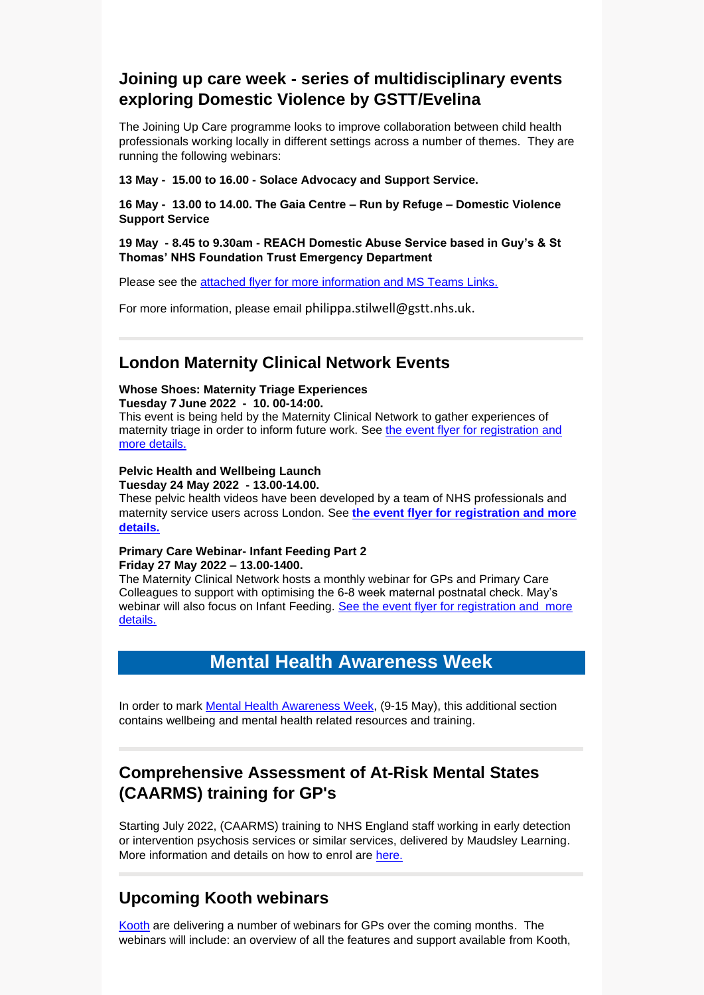## **Joining up care week - series of multidisciplinary events exploring Domestic Violence by GSTT/Evelina**

The Joining Up Care programme looks to improve collaboration between child health professionals working locally in different settings across a number of themes. They are running the following webinars:

**13 May - 15.00 to 16.00 - Solace Advocacy and Support Service.**

**16 May - 13.00 to 14.00. The Gaia Centre – Run by Refuge – Domestic Violence Support Service**

#### **19 May - 8.45 to 9.30am - REACH Domestic Abuse Service based in Guy's & St Thomas' NHS Foundation Trust Emergency Department**

Please see the [attached flyer for more information and MS Teams Links.](https://selondonccg.nhs.uk/wp-content/uploads/2022/05/Joining-Up-Care-Domestic-Violence-Week.pdf)

For more information, please email [philippa.stilwell@gstt.nhs.uk.](mailto:philippa.stilwell@gstt.nhs.uk)

### **London Maternity Clinical Network Events**

#### **Whose Shoes: Maternity Triage Experiences**

**Tuesday 7 June 2022 - 10. 00-14:00.**

This event is being held by the Maternity Clinical Network to gather experiences of maternity triage in order to inform future work. See [the event flyer for](https://selondonccg.nhs.uk/wp-content/uploads/2022/05/Whose-Shoes-poster.pdf) registration and [more details.](https://selondonccg.nhs.uk/wp-content/uploads/2022/05/Whose-Shoes-poster.pdf)

#### **Pelvic Health and Wellbeing Launch**

**Tuesday 24 May 2022 - 13.00-14.00.**

These pelvic health videos have been developed by a team of NHS professionals and maternity service users across London. See **[the event flyer for registration and more](https://selondonccg.nhs.uk/wp-content/uploads/2022/05/Pelvic-Health-and-Wellbeing-Videos-Launch-Event.pdf)  [details.](https://selondonccg.nhs.uk/wp-content/uploads/2022/05/Pelvic-Health-and-Wellbeing-Videos-Launch-Event.pdf)**

#### **Primary Care Webinar- Infant Feeding Part 2 Friday 27 May 2022 – 13.00-1400.**

The Maternity Clinical Network hosts a monthly webinar for GPs and Primary Care Colleagues to support with optimising the 6-8 week maternal postnatal check. May's webinar will also focus on Infant Feeding. [See the event flyer for registration and more](https://selondonccg.nhs.uk/wp-content/uploads/2022/05/Postnatal-GP-Webinar-27th-May-2022.pdf)  [details.](https://selondonccg.nhs.uk/wp-content/uploads/2022/05/Postnatal-GP-Webinar-27th-May-2022.pdf)

# **Mental Health Awareness Week**

In order to mark [Mental Health Awareness Week,](https://www.mentalhealth.org.uk/campaigns/mental-health-awareness-week) (9-15 May), this additional section contains wellbeing and mental health related resources and training.

# **Comprehensive Assessment of At-Risk Mental States (CAARMS) training for GP's**

Starting July 2022, (CAARMS) training to NHS England staff working in early detection or intervention psychosis services or similar services, delivered by Maudsley Learning. More information and details on how to enrol are [here.](https://selondonccg.nhs.uk/wp-content/uploads/2022/05/CAARMS-Leaflet-v1.2.pdf)

## **Upcoming Kooth webinars**

[Kooth](https://explore.kooth.com/gp/) are delivering a number of webinars for GPs over the coming months. The webinars will include: an overview of all the features and support available from Kooth,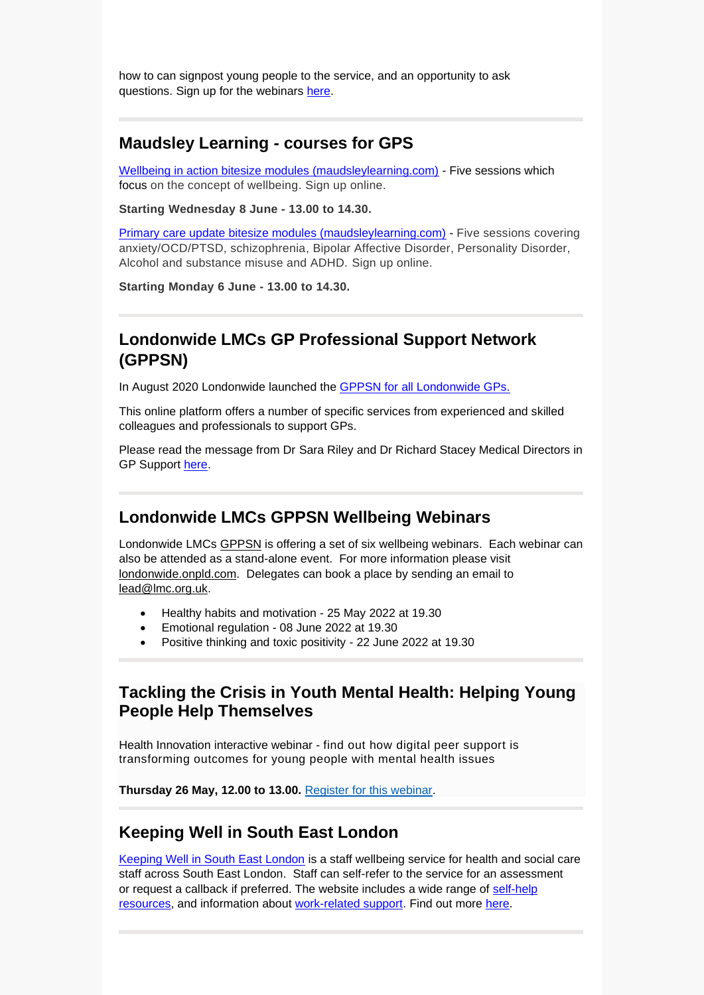how to can signpost young people to the service, and an opportunity to ask questions. Sign up for the webinars [here.](https://docs.google.com/forms/d/16OlTp8QyImfh9qQPuY_H18mosOGMpNa95h4c3ODi3J0/edit?ts=6241be12)

#### **Maudsley Learning - courses for GPS**

[Wellbeing in action bitesize modules \(maudsleylearning.com\)](https://maudsleylearning.com/courses/wellbeing-in-action-bitesize-modules/) - Five sessions which focus on the concept of wellbeing. Sign up online.

**Starting Wednesday 8 June - 13.00 to 14.30.**

[Primary care update bitesize modules \(maudsleylearning.com\)](https://maudsleylearning.com/courses/primary-care-update-bitesize-modules/) - Five sessions covering anxiety/OCD/PTSD, schizophrenia, Bipolar Affective Disorder, Personality Disorder, Alcohol and substance misuse and ADHD. Sign up online.

**Starting Monday 6 June - 13.00 to 14.30.**

### **Londonwide LMCs GP Professional Support Network (GPPSN)**

In August 2020 Londonwide launched the [GPPSN for all Londonwide GPs.](https://londonwide.onpld.com/)

This online platform offers a number of specific services from experienced and skilled colleagues and professionals to support GPs.

Please read the message from Dr Sara Riley and Dr Richard Stacey Medical Directors in GP Support [here.](https://selondonccg.nhs.uk/wp-content/uploads/2022/05/Londonwide-LMCs-GP-Professional-Support-Network-GPPSN-.docx)

### **Londonwide LMCs GPPSN Wellbeing Webinars**

Londonwide LMCs [GPPSN](https://londonwide.onpld.com/) is offering a set of six wellbeing webinars. Each webinar can also be attended as a stand-alone event. For more information please visit [londonwide.onpld.com.](https://londonwide.onpld.com/) Delegates can book a place by sending an email to [lead@lmc.org.uk.](mailto:lead@lmc.org.uk)

- Healthy habits and motivation 25 May 2022 at 19.30
- Emotional regulation 08 June 2022 at 19.30
- Positive thinking and toxic positivity 22 June 2022 at 19.30

#### **Tackling the Crisis in Youth Mental Health: Helping Young People Help Themselves**

Health Innovation interactive webinar - find out how digital peer support is transforming outcomes for young people with mental health issues

**Thursday 26 May, 12.00 to 13.00.** [Register for this webinar.](https://mhlda.createsend1.com/t/d-l-fjijtkd-ttdrztjuy-yh/)

#### **Keeping Well in South East London**

[Keeping Well in South East London](https://www.keepingwellsel.nhs.uk/) is a staff wellbeing service for health and social care staff across South East London. Staff can self-refer to the service for an assessment or request a callback if preferred. The website includes a wide range of [self-help](https://www.keepingwellsel.nhs.uk/information-and-resources)  [resources,](https://www.keepingwellsel.nhs.uk/information-and-resources) and information about [work-related support.](https://www.keepingwellsel.nhs.uk/work-related-support) Find out more [here.](https://selondonccg.nhs.uk/wp-content/uploads/2022/04/KWSEL-Support-Offers-Overview_.pdf)